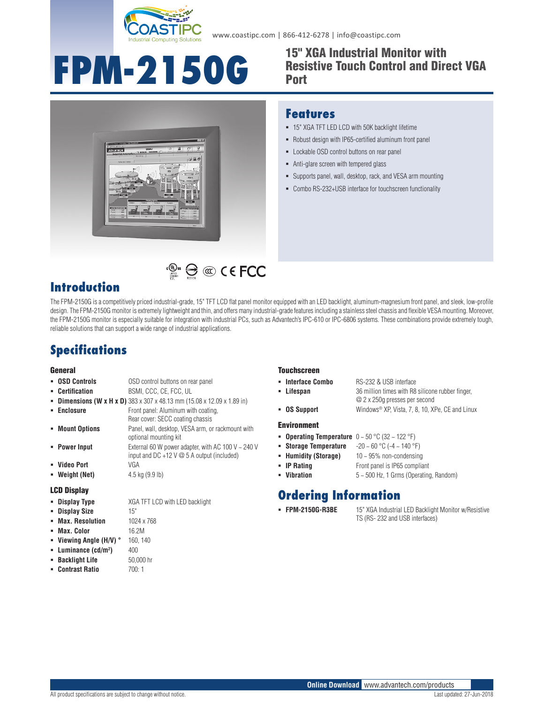

www.coastipc.com | 866-412-6278 | info@coastipc.com

# **FPM-2150G**

#### 15" XGA Industrial Monitor with Resistive Touch Control and Direct VGA Port



#### **Features**

- 15" XGA TFT LED LCD with 50K backlight lifetime
- Robust design with IP65-certified aluminum front panel
- **-** Lockable OSD control buttons on rear panel
- Anti-glare screen with tempered glass
- Supports panel, wall, desktop, rack, and VESA arm mounting
- Combo RS-232+USB interface for touchscreen functionality

## **Introduction**

The FPM-2150G is a competitively priced industrial-grade, 15" TFT LCD flat panel monitor equipped with an LED backlight, aluminum-magnesium front panel, and sleek, low-profile design. The FPM-2150G monitor is extremely lightweight and thin, and offers many industrial-grade features including a stainless steel chassis and flexible VESA mounting. Moreover, the FPM-2150G monitor is especially suitable for integration with industrial PCs, such as Advantech's IPC-610 or IPC-6806 systems. These combinations provide extremely tough, reliable solutions that can support a wide range of industrial applications.

**E** @ CEFCC

## **Specifications**

#### **General**

- **OSD Controls** OSD control buttons on rear panel **Certification** BSMI, CCC, CE, FCC, UL **Dimensions (W x H x D)** 383 x 307 x 48.13 mm (15.08 x 12.09 x 1.89 in)
- **Enclosure** Front panel: Aluminum with coating,
- Rear cover: SECC coating chassis **Mount Options** Panel, wall, desktop, VESA arm, or rackmount with optional mounting kit
- **Power Input** External 60 W power adapter, with AC 100 V ~ 240 V input and DC +12 V @ 5 A output (included) **Video Port** VGA
- 
- **Weight (Net)** 4.5 kg (9.9 lb)

#### LCD Display

- **Display Type** XGA TFT LCD with LED backlight
- **Display Size** 15"
- **Max. Resolution** 1024 x 768
- **Max. Color** 16.2M
- **Viewing Angle (H/V) °** 160, 140
- **Luminance (cd/m2 )** 400
- **Backlight Life** 50,000 hr **Contrast Ratio** 700: 1
- **Touchscreen**
- **Interface Combo** RS-232 & USB interface
	-
- **Lifespan** 36 million times with R8 silicone rubber finger, @ 2 x 250g presses per second
- **OS Support** Windows® XP, Vista, 7, 8, 10, XPe, CE and Linux

#### Environment

- **Operating Temperature** 0 ~ 50 °C (32 ~ 122 °F)
- **Storage Temperature** -20 ~ 60 °C (-4 ~ 140 °F)
- **Humidity (Storage)** 10 ~ 95% non-condensing
- **IP Rating** Front panel is IP65 compliant
- **Vibration** 5 ~ 500 Hz, 1 Grms (Operating, Random)

## **Ordering Information**

- 
- **FPM-2150G-R3BE** 15" XGA Industrial LED Backlight Monitor w/Resistive TS (RS- 232 and USB interfaces)